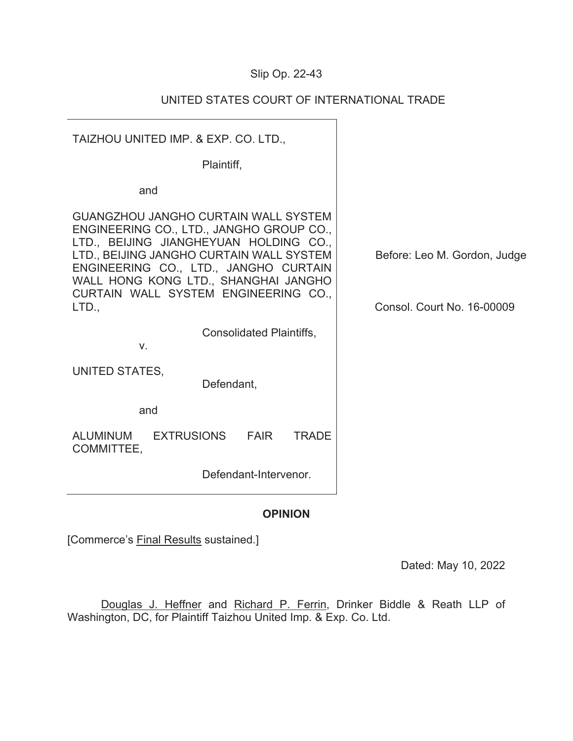# Slip Op. 22-43

| TAIZHOU UNITED IMP. & EXP. CO. LTD.,<br>Plaintiff,<br>and<br><b>GUANGZHOU JANGHO CURTAIN WALL SYSTEM</b><br>ENGINEERING CO., LTD., JANGHO GROUP CO.,<br>LTD., BEIJING JIANGHEYUAN HOLDING CO.,<br>LTD., BEIJING JANGHO CURTAIN WALL SYSTEM<br>ENGINEERING CO., LTD., JANGHO CURTAIN<br>WALL HONG KONG LTD., SHANGHAI JANGHO<br>CURTAIN WALL SYSTEM ENGINEERING CO.,<br>LTD.<br><b>Consol. Court No. 16-00009</b><br><b>Consolidated Plaintiffs,</b><br>$V_{-}$<br>UNITED STATES,<br>Defendant,<br>and<br><b>EXTRUSIONS</b><br><b>ALUMINUM</b><br><b>FAIR</b><br><b>TRADE</b><br>COMMITTEE,<br>Defendant-Intervenor. |                              |
|---------------------------------------------------------------------------------------------------------------------------------------------------------------------------------------------------------------------------------------------------------------------------------------------------------------------------------------------------------------------------------------------------------------------------------------------------------------------------------------------------------------------------------------------------------------------------------------------------------------------|------------------------------|
|                                                                                                                                                                                                                                                                                                                                                                                                                                                                                                                                                                                                                     |                              |
|                                                                                                                                                                                                                                                                                                                                                                                                                                                                                                                                                                                                                     |                              |
|                                                                                                                                                                                                                                                                                                                                                                                                                                                                                                                                                                                                                     |                              |
|                                                                                                                                                                                                                                                                                                                                                                                                                                                                                                                                                                                                                     | Before: Leo M. Gordon, Judge |
|                                                                                                                                                                                                                                                                                                                                                                                                                                                                                                                                                                                                                     |                              |
|                                                                                                                                                                                                                                                                                                                                                                                                                                                                                                                                                                                                                     |                              |
|                                                                                                                                                                                                                                                                                                                                                                                                                                                                                                                                                                                                                     |                              |
|                                                                                                                                                                                                                                                                                                                                                                                                                                                                                                                                                                                                                     |                              |
|                                                                                                                                                                                                                                                                                                                                                                                                                                                                                                                                                                                                                     |                              |

# UNITED STATES COURT OF INTERNATIONAL TRADE

## **OPINION**

[Commerce's Final Results sustained.]

Dated: May 10, 2022

Douglas J. Heffner and Richard P. Ferrin, Drinker Biddle & Reath LLP of Washington, DC, for Plaintiff Taizhou United Imp. & Exp. Co. Ltd.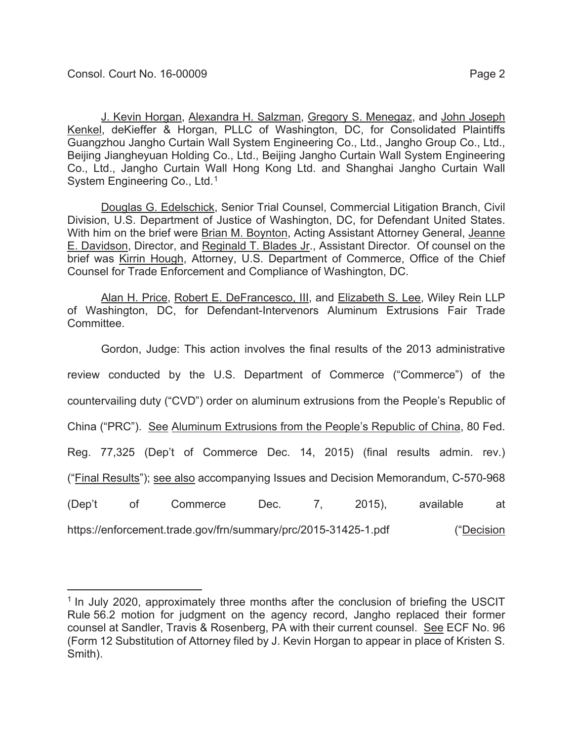System Engineering Co., Ltd.<sup>1</sup>

J. Kevin Horgan, Alexandra H. Salzman, Gregory S. Menegaz, and John Joseph Kenkel, deKieffer & Horgan, PLLC of Washington, DC, for Consolidated Plaintiffs Guangzhou Jangho Curtain Wall System Engineering Co., Ltd., Jangho Group Co., Ltd., Beijing Jiangheyuan Holding Co., Ltd., Beijing Jangho Curtain Wall System Engineering Co., Ltd., Jangho Curtain Wall Hong Kong Ltd. and Shanghai Jangho Curtain Wall

Douglas G. Edelschick, Senior Trial Counsel, Commercial Litigation Branch, Civil Division, U.S. Department of Justice of Washington, DC, for Defendant United States. With him on the brief were **Brian M. Boynton**, Acting Assistant Attorney General, Jeanne E. Davidson, Director, and Reginald T. Blades Jr., Assistant Director. Of counsel on the brief was Kirrin Hough, Attorney, U.S. Department of Commerce, Office of the Chief Counsel for Trade Enforcement and Compliance of Washington, DC.

Alan H. Price, Robert E. DeFrancesco, III, and Elizabeth S. Lee, Wiley Rein LLP of Washington, DC, for Defendant-Intervenors Aluminum Extrusions Fair Trade Committee.

Gordon, Judge: This action involves the final results of the 2013 administrative review conducted by the U.S. Department of Commerce ("Commerce") of the countervailing duty ("CVD") order on aluminum extrusions from the People's Republic of China ("PRC"). See Aluminum Extrusions from the People's Republic of China, 80 Fed. Reg. 77,325 (Dep't of Commerce Dec. 14, 2015) (final results admin. rev.) ("Final Results"); see also accompanying Issues and Decision Memorandum, C-570-968 (Dep't of Commerce Dec. 7, 2015), available at https://enforcement.trade.gov/frn/summary/prc/2015-31425-1.pdf ("Decision")

<sup>&</sup>lt;sup>1</sup> In July 2020, approximately three months after the conclusion of briefing the USCIT Rule 56.2 motion for judgment on the agency record, Jangho replaced their former counsel at Sandler, Travis & Rosenberg, PA with their current counsel. See ECF No. 96 (Form 12 Substitution of Attorney filed by J. Kevin Horgan to appear in place of Kristen S. Smith).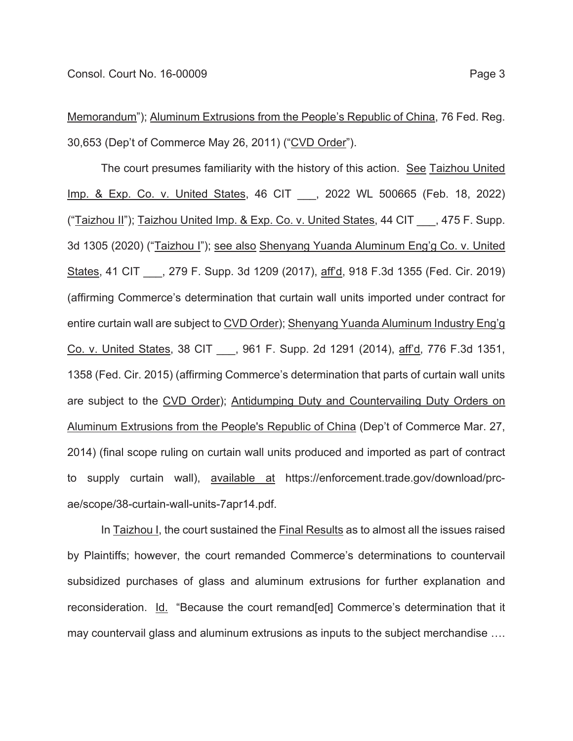Memorandum"); Aluminum Extrusions from the People's Republic of China, 76 Fed. Reg. 30,653 (Dep't of Commerce May 26, 2011) ("CVD Order").

The court presumes familiarity with the history of this action. See Taizhou United Imp. & Exp. Co. v. United States, 46 CIT \_\_\_, 2022 WL 500665 (Feb. 18, 2022) ("Taizhou II"); Taizhou United Imp. & Exp. Co. v. United States, 44 CIT , 475 F. Supp. 3d 1305 (2020) ("Taizhou I"); see also Shenyang Yuanda Aluminum Eng'g Co. v. United States, 41 CIT \_\_\_, 279 F. Supp. 3d 1209 (2017), aff'd, 918 F.3d 1355 (Fed. Cir. 2019) (affirming Commerce's determination that curtain wall units imported under contract for entire curtain wall are subject to CVD Order); Shenyang Yuanda Aluminum Industry Eng'g Co. v. United States, 38 CIT \_\_\_, 961 F. Supp. 2d 1291 (2014), aff'd, 776 F.3d 1351, 1358 (Fed. Cir. 2015) (affirming Commerce's determination that parts of curtain wall units are subject to the CVD Order); Antidumping Duty and Countervailing Duty Orders on Aluminum Extrusions from the People's Republic of China (Dep't of Commerce Mar. 27, 2014) (final scope ruling on curtain wall units produced and imported as part of contract to supply curtain wall), available at https://enforcement.trade.gov/download/prcae/scope/38-curtain-wall-units-7apr14.pdf.

In Taizhou I, the court sustained the Final Results as to almost all the issues raised by Plaintiffs; however, the court remanded Commerce's determinations to countervail subsidized purchases of glass and aluminum extrusions for further explanation and reconsideration. Id. "Because the court remand[ed] Commerce's determination that it may countervail glass and aluminum extrusions as inputs to the subject merchandise ….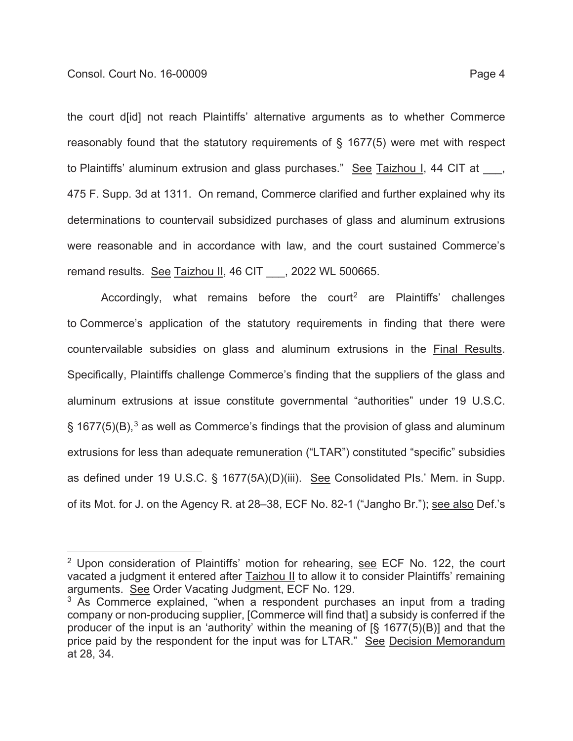the court d[id] not reach Plaintiffs' alternative arguments as to whether Commerce reasonably found that the statutory requirements of § 1677(5) were met with respect to Plaintiffs' aluminum extrusion and glass purchases." See Taizhou I, 44 CIT at 475 F. Supp. 3d at 1311. On remand, Commerce clarified and further explained why its determinations to countervail subsidized purchases of glass and aluminum extrusions were reasonable and in accordance with law, and the court sustained Commerce's remand results. See Taizhou II, 46 CIT \_\_\_, 2022 WL 500665.

Accordingly, what remains before the court<sup>2</sup> are Plaintiffs' challenges to Commerce's application of the statutory requirements in finding that there were countervailable subsidies on glass and aluminum extrusions in the Final Results. Specifically, Plaintiffs challenge Commerce's finding that the suppliers of the glass and aluminum extrusions at issue constitute governmental "authorities" under 19 U.S.C.  $\S$  1677(5)(B),<sup>3</sup> as well as Commerce's findings that the provision of glass and aluminum extrusions for less than adequate remuneration ("LTAR") constituted "specific" subsidies as defined under 19 U.S.C. § 1677(5A)(D)(iii). See Consolidated PIs.' Mem. in Supp. of its Mot. for J. on the Agency R. at 28–38, ECF No. 82-1 ("Jangho Br."); see also Def.'s

<sup>2</sup> Upon consideration of Plaintiffs' motion for rehearing, see ECF No. 122, the court vacated a judgment it entered after Taizhou II to allow it to consider Plaintiffs' remaining arguments. See Order Vacating Judgment, ECF No. 129.

 $3$  As Commerce explained, "when a respondent purchases an input from a trading company or non-producing supplier, [Commerce will find that] a subsidy is conferred if the producer of the input is an 'authority' within the meaning of [§ 1677(5)(B)] and that the price paid by the respondent for the input was for LTAR." See Decision Memorandum at 28, 34.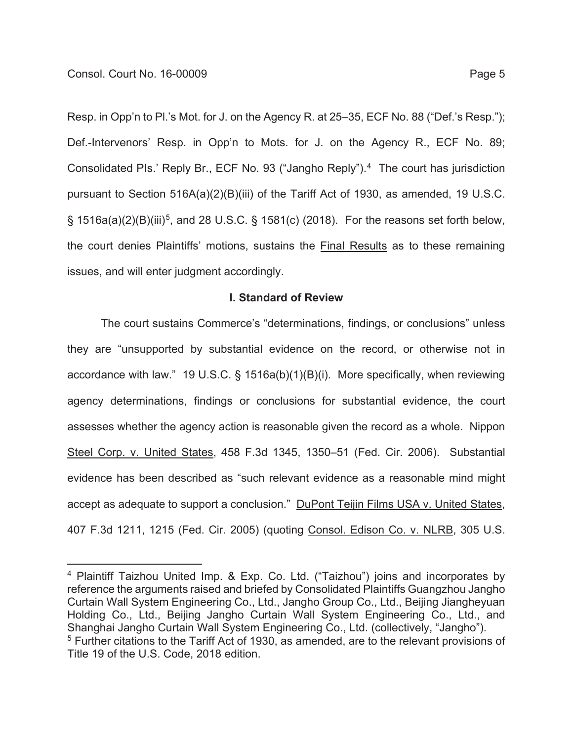Resp. in Opp'n to Pl.'s Mot. for J. on the Agency R. at 25–35, ECF No. 88 ("Def.'s Resp."); Def.-Intervenors' Resp. in Opp'n to Mots. for J. on the Agency R., ECF No. 89; Consolidated PIs.' Reply Br., ECF No. 93 ("Jangho Reply").4 The court has jurisdiction pursuant to Section 516A(a)(2)(B)(iii) of the Tariff Act of 1930, as amended, 19 U.S.C.  $\S$  1516a(a)(2)(B)(iii)<sup>5</sup>, and 28 U.S.C.  $\S$  1581(c) (2018). For the reasons set forth below, the court denies Plaintiffs' motions, sustains the Final Results as to these remaining issues, and will enter judgment accordingly.

### **I. Standard of Review**

The court sustains Commerce's "determinations, findings, or conclusions" unless they are "unsupported by substantial evidence on the record, or otherwise not in accordance with law." 19 U.S.C. § 1516a(b)(1)(B)(i). More specifically, when reviewing agency determinations, findings or conclusions for substantial evidence, the court assesses whether the agency action is reasonable given the record as a whole. Nippon Steel Corp. v. United States, 458 F.3d 1345, 1350–51 (Fed. Cir. 2006). Substantial evidence has been described as "such relevant evidence as a reasonable mind might accept as adequate to support a conclusion." DuPont Teijin Films USA v. United States, 407 F.3d 1211, 1215 (Fed. Cir. 2005) (quoting Consol. Edison Co. v. NLRB, 305 U.S.

<sup>4</sup> Plaintiff Taizhou United Imp. & Exp. Co. Ltd. ("Taizhou") joins and incorporates by reference the arguments raised and briefed by Consolidated Plaintiffs Guangzhou Jangho Curtain Wall System Engineering Co., Ltd., Jangho Group Co., Ltd., Beijing Jiangheyuan Holding Co., Ltd., Beijing Jangho Curtain Wall System Engineering Co., Ltd., and Shanghai Jangho Curtain Wall System Engineering Co., Ltd. (collectively, "Jangho"). 5 Further citations to the Tariff Act of 1930, as amended, are to the relevant provisions of Title 19 of the U.S. Code, 2018 edition.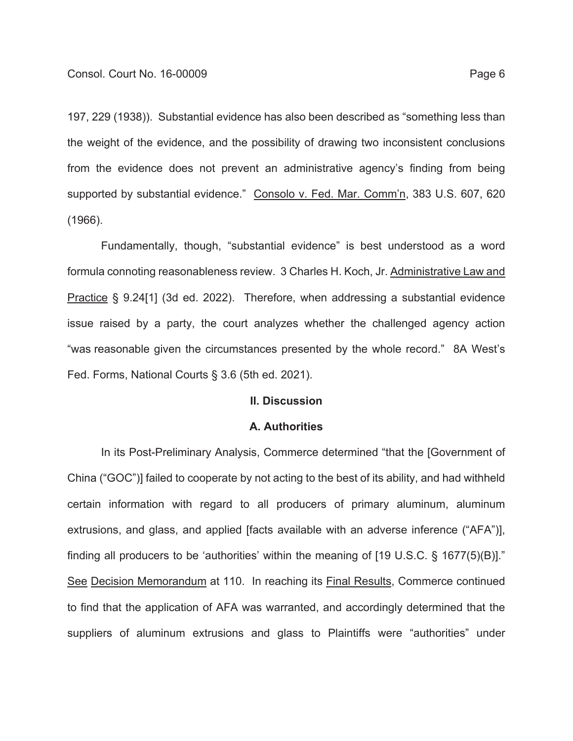197, 229 (1938)). Substantial evidence has also been described as "something less than the weight of the evidence, and the possibility of drawing two inconsistent conclusions from the evidence does not prevent an administrative agency's finding from being supported by substantial evidence." Consolo v. Fed. Mar. Comm'n, 383 U.S. 607, 620 (1966).

Fundamentally, though, "substantial evidence" is best understood as a word formula connoting reasonableness review. 3 Charles H. Koch, Jr. Administrative Law and Practice § 9.24[1] (3d ed. 2022). Therefore, when addressing a substantial evidence issue raised by a party, the court analyzes whether the challenged agency action "was reasonable given the circumstances presented by the whole record." 8A West's Fed. Forms, National Courts § 3.6 (5th ed. 2021).

### **II. Discussion**

#### **A. Authorities**

In its Post-Preliminary Analysis, Commerce determined "that the [Government of China ("GOC")] failed to cooperate by not acting to the best of its ability, and had withheld certain information with regard to all producers of primary aluminum, aluminum extrusions, and glass, and applied [facts available with an adverse inference ("AFA")], finding all producers to be 'authorities' within the meaning of [19 U.S.C. § 1677(5)(B)]." See Decision Memorandum at 110. In reaching its Final Results, Commerce continued to find that the application of AFA was warranted, and accordingly determined that the suppliers of aluminum extrusions and glass to Plaintiffs were "authorities" under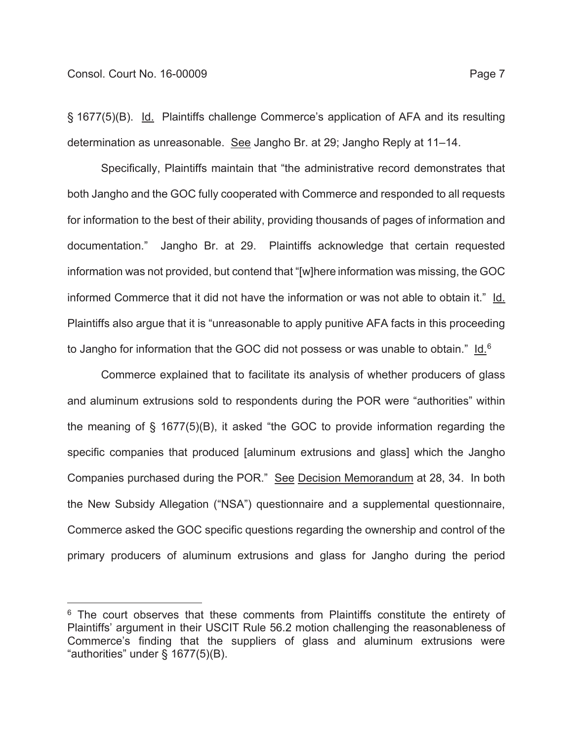§ 1677(5)(B). Id. Plaintiffs challenge Commerce's application of AFA and its resulting determination as unreasonable. See Jangho Br. at 29; Jangho Reply at 11–14.

Specifically, Plaintiffs maintain that "the administrative record demonstrates that both Jangho and the GOC fully cooperated with Commerce and responded to all requests for information to the best of their ability, providing thousands of pages of information and documentation." Jangho Br. at 29. Plaintiffs acknowledge that certain requested information was not provided, but contend that "[w]here information was missing, the GOC informed Commerce that it did not have the information or was not able to obtain it." Id. Plaintiffs also argue that it is "unreasonable to apply punitive AFA facts in this proceeding to Jangho for information that the GOC did not possess or was unable to obtain."  $\underline{\mathsf{Id}}^6$ 

Commerce explained that to facilitate its analysis of whether producers of glass and aluminum extrusions sold to respondents during the POR were "authorities" within the meaning of § 1677(5)(B), it asked "the GOC to provide information regarding the specific companies that produced [aluminum extrusions and glass] which the Jangho Companies purchased during the POR." See Decision Memorandum at 28, 34. In both the New Subsidy Allegation ("NSA") questionnaire and a supplemental questionnaire, Commerce asked the GOC specific questions regarding the ownership and control of the primary producers of aluminum extrusions and glass for Jangho during the period

 $6$  The court observes that these comments from Plaintiffs constitute the entirety of Plaintiffs' argument in their USCIT Rule 56.2 motion challenging the reasonableness of Commerce's finding that the suppliers of glass and aluminum extrusions were "authorities" under § 1677(5)(B).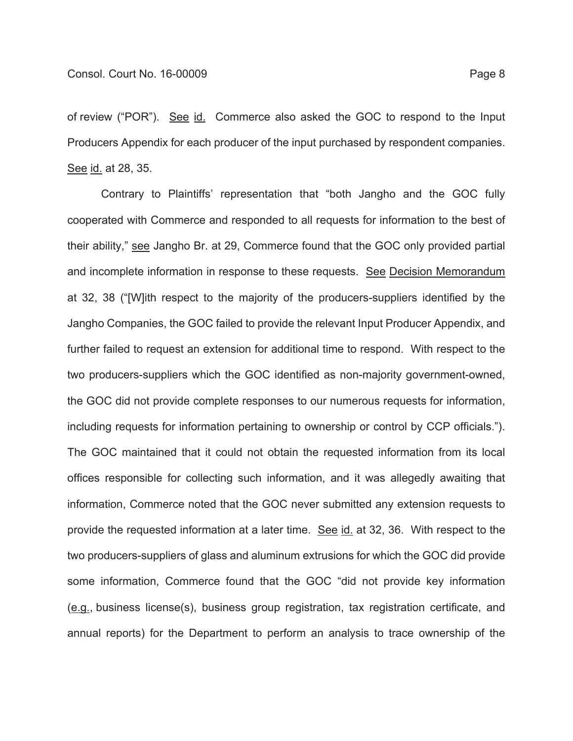of review ("POR"). See id. Commerce also asked the GOC to respond to the Input Producers Appendix for each producer of the input purchased by respondent companies. See id. at 28, 35.

Contrary to Plaintiffs' representation that "both Jangho and the GOC fully cooperated with Commerce and responded to all requests for information to the best of their ability," see Jangho Br. at 29, Commerce found that the GOC only provided partial and incomplete information in response to these requests. See Decision Memorandum at 32, 38 ("[W]ith respect to the majority of the producers-suppliers identified by the Jangho Companies, the GOC failed to provide the relevant Input Producer Appendix, and further failed to request an extension for additional time to respond. With respect to the two producers-suppliers which the GOC identified as non-majority government-owned, the GOC did not provide complete responses to our numerous requests for information, including requests for information pertaining to ownership or control by CCP officials."). The GOC maintained that it could not obtain the requested information from its local offices responsible for collecting such information, and it was allegedly awaiting that information, Commerce noted that the GOC never submitted any extension requests to provide the requested information at a later time. See id. at 32, 36. With respect to the two producers-suppliers of glass and aluminum extrusions for which the GOC did provide some information, Commerce found that the GOC "did not provide key information (e.g., business license(s), business group registration, tax registration certificate, and annual reports) for the Department to perform an analysis to trace ownership of the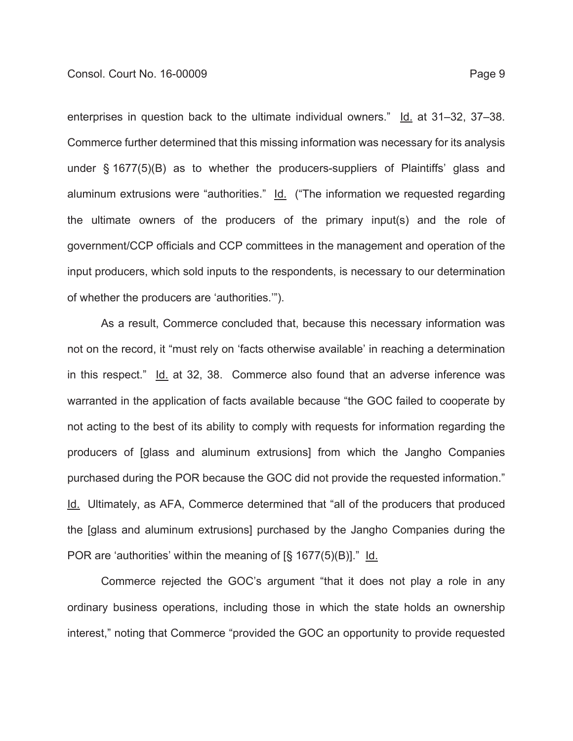enterprises in question back to the ultimate individual owners." Id. at 31-32, 37-38. Commerce further determined that this missing information was necessary for its analysis under § 1677(5)(B) as to whether the producers-suppliers of Plaintiffs' glass and aluminum extrusions were "authorities." Id. ("The information we requested regarding the ultimate owners of the producers of the primary input(s) and the role of government/CCP officials and CCP committees in the management and operation of the input producers, which sold inputs to the respondents, is necessary to our determination of whether the producers are 'authorities.'").

As a result, Commerce concluded that, because this necessary information was not on the record, it "must rely on 'facts otherwise available' in reaching a determination in this respect." Id. at 32, 38. Commerce also found that an adverse inference was warranted in the application of facts available because "the GOC failed to cooperate by not acting to the best of its ability to comply with requests for information regarding the producers of [glass and aluminum extrusions] from which the Jangho Companies purchased during the POR because the GOC did not provide the requested information." Id. Ultimately, as AFA, Commerce determined that "all of the producers that produced the [glass and aluminum extrusions] purchased by the Jangho Companies during the POR are 'authorities' within the meaning of [§ 1677(5)(B)]." Id.

Commerce rejected the GOC's argument "that it does not play a role in any ordinary business operations, including those in which the state holds an ownership interest," noting that Commerce "provided the GOC an opportunity to provide requested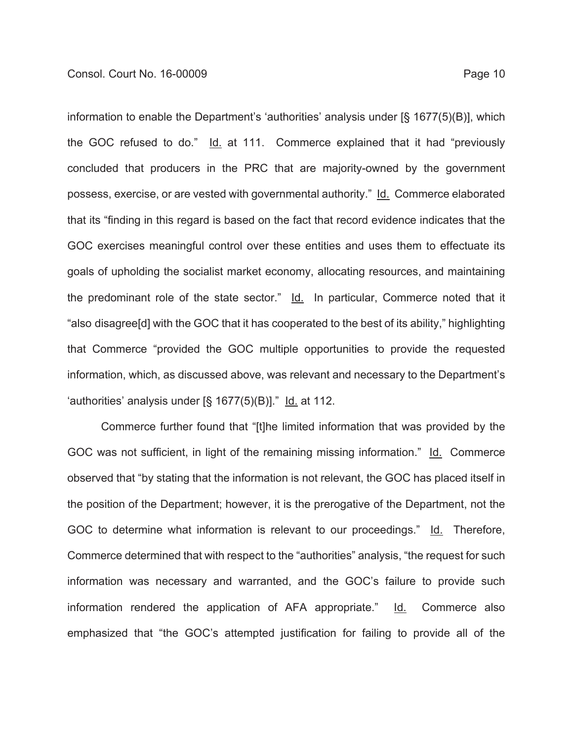information to enable the Department's 'authorities' analysis under [§ 1677(5)(B)], which the GOC refused to do." Id. at 111. Commerce explained that it had "previously concluded that producers in the PRC that are majority-owned by the government possess, exercise, or are vested with governmental authority." Id. Commerce elaborated that its "finding in this regard is based on the fact that record evidence indicates that the GOC exercises meaningful control over these entities and uses them to effectuate its goals of upholding the socialist market economy, allocating resources, and maintaining the predominant role of the state sector." Id. In particular, Commerce noted that it "also disagree[d] with the GOC that it has cooperated to the best of its ability," highlighting that Commerce "provided the GOC multiple opportunities to provide the requested information, which, as discussed above, was relevant and necessary to the Department's 'authorities' analysis under  $[\S 1677(5)(B)]$ ." Id. at 112.

Commerce further found that "[t]he limited information that was provided by the GOC was not sufficient, in light of the remaining missing information." Id. Commerce observed that "by stating that the information is not relevant, the GOC has placed itself in the position of the Department; however, it is the prerogative of the Department, not the GOC to determine what information is relevant to our proceedings." Id. Therefore, Commerce determined that with respect to the "authorities" analysis, "the request for such information was necessary and warranted, and the GOC's failure to provide such information rendered the application of AFA appropriate." Id. Commerce also emphasized that "the GOC's attempted justification for failing to provide all of the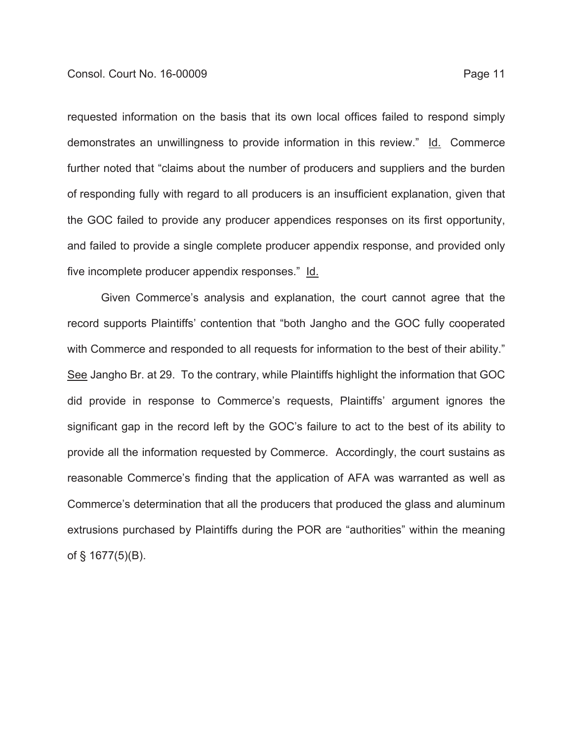requested information on the basis that its own local offices failed to respond simply demonstrates an unwillingness to provide information in this review." Id. Commerce further noted that "claims about the number of producers and suppliers and the burden of responding fully with regard to all producers is an insufficient explanation, given that the GOC failed to provide any producer appendices responses on its first opportunity, and failed to provide a single complete producer appendix response, and provided only five incomplete producer appendix responses." Id.

Given Commerce's analysis and explanation, the court cannot agree that the record supports Plaintiffs' contention that "both Jangho and the GOC fully cooperated with Commerce and responded to all requests for information to the best of their ability." See Jangho Br. at 29. To the contrary, while Plaintiffs highlight the information that GOC did provide in response to Commerce's requests, Plaintiffs' argument ignores the significant gap in the record left by the GOC's failure to act to the best of its ability to provide all the information requested by Commerce. Accordingly, the court sustains as reasonable Commerce's finding that the application of AFA was warranted as well as Commerce's determination that all the producers that produced the glass and aluminum extrusions purchased by Plaintiffs during the POR are "authorities" within the meaning of § 1677(5)(B).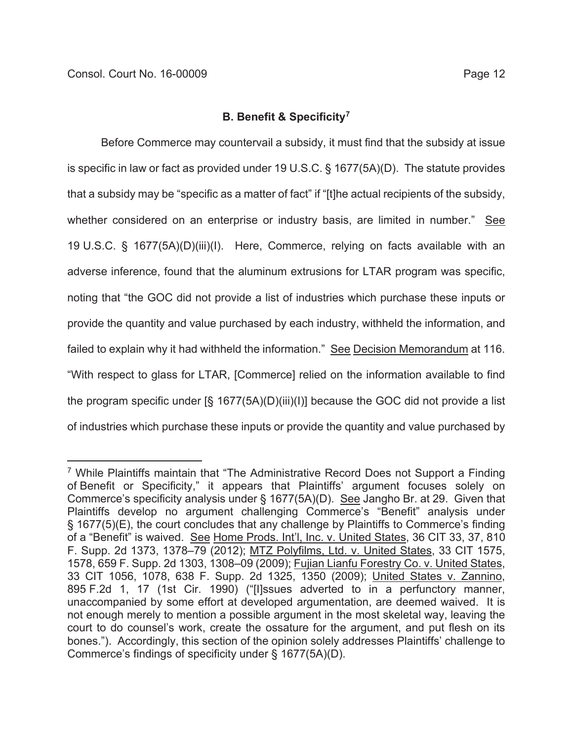# **B. Benefit & Specificity7**

Before Commerce may countervail a subsidy, it must find that the subsidy at issue is specific in law or fact as provided under 19 U.S.C. § 1677(5A)(D). The statute provides that a subsidy may be "specific as a matter of fact" if "[t]he actual recipients of the subsidy, whether considered on an enterprise or industry basis, are limited in number." See 19 U.S.C. § 1677(5A)(D)(iii)(I). Here, Commerce, relying on facts available with an adverse inference, found that the aluminum extrusions for LTAR program was specific, noting that "the GOC did not provide a list of industries which purchase these inputs or provide the quantity and value purchased by each industry, withheld the information, and failed to explain why it had withheld the information." See Decision Memorandum at 116. "With respect to glass for LTAR, [Commerce] relied on the information available to find the program specific under [§ 1677(5A)(D)(iii)(I)] because the GOC did not provide a list of industries which purchase these inputs or provide the quantity and value purchased by

<sup>&</sup>lt;sup>7</sup> While Plaintiffs maintain that "The Administrative Record Does not Support a Finding of Benefit or Specificity," it appears that Plaintiffs' argument focuses solely on Commerce's specificity analysis under § 1677(5A)(D). See Jangho Br. at 29. Given that Plaintiffs develop no argument challenging Commerce's "Benefit" analysis under § 1677(5)(E), the court concludes that any challenge by Plaintiffs to Commerce's finding of a "Benefit" is waived. See Home Prods. Int'l, Inc. v. United States, 36 CIT 33, 37, 810 F. Supp. 2d 1373, 1378–79 (2012); MTZ Polyfilms, Ltd. v. United States, 33 CIT 1575, 1578, 659 F. Supp. 2d 1303, 1308–09 (2009); Fujian Lianfu Forestry Co. v. United States, 33 CIT 1056, 1078, 638 F. Supp. 2d 1325, 1350 (2009); United States v. Zannino, 895 F.2d 1, 17 (1st Cir. 1990) ("[I]ssues adverted to in a perfunctory manner, unaccompanied by some effort at developed argumentation, are deemed waived. It is not enough merely to mention a possible argument in the most skeletal way, leaving the court to do counsel's work, create the ossature for the argument, and put flesh on its bones."). Accordingly, this section of the opinion solely addresses Plaintiffs' challenge to Commerce's findings of specificity under § 1677(5A)(D).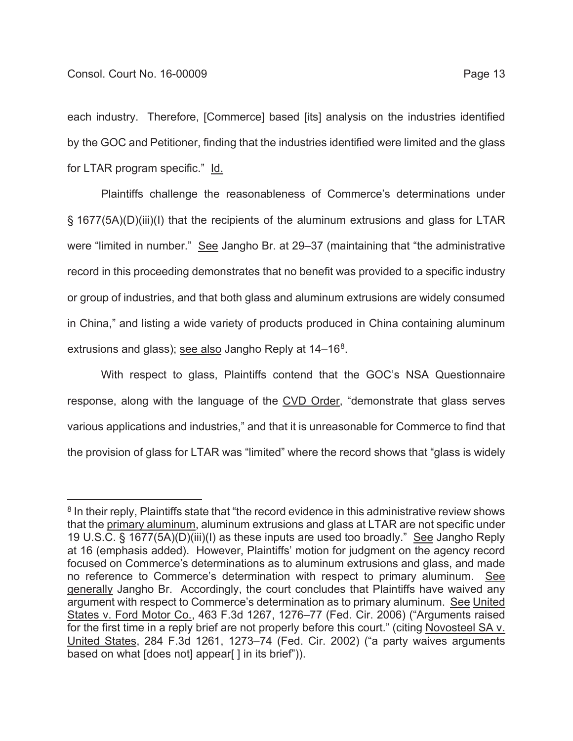each industry. Therefore, [Commerce] based [its] analysis on the industries identified by the GOC and Petitioner, finding that the industries identified were limited and the glass for LTAR program specific." Id.

Plaintiffs challenge the reasonableness of Commerce's determinations under § 1677(5A)(D)(iii)(I) that the recipients of the aluminum extrusions and glass for LTAR were "limited in number." See Jangho Br. at 29–37 (maintaining that "the administrative record in this proceeding demonstrates that no benefit was provided to a specific industry or group of industries, and that both glass and aluminum extrusions are widely consumed in China," and listing a wide variety of products produced in China containing aluminum extrusions and glass); see also Jangho Reply at  $14-16^8$ .

With respect to glass, Plaintiffs contend that the GOC's NSA Questionnaire response, along with the language of the CVD Order, "demonstrate that glass serves various applications and industries," and that it is unreasonable for Commerce to find that the provision of glass for LTAR was "limited" where the record shows that "glass is widely

<sup>&</sup>lt;sup>8</sup> In their reply, Plaintiffs state that "the record evidence in this administrative review shows that the primary aluminum, aluminum extrusions and glass at LTAR are not specific under 19 U.S.C. § 1677(5A)(D)(iii)(I) as these inputs are used too broadly." See Jangho Reply at 16 (emphasis added). However, Plaintiffs' motion for judgment on the agency record focused on Commerce's determinations as to aluminum extrusions and glass, and made no reference to Commerce's determination with respect to primary aluminum. See generally Jangho Br. Accordingly, the court concludes that Plaintiffs have waived any argument with respect to Commerce's determination as to primary aluminum. See United States v. Ford Motor Co., 463 F.3d 1267, 1276–77 (Fed. Cir. 2006) ("Arguments raised for the first time in a reply brief are not properly before this court." (citing Novosteel SA v. United States, 284 F.3d 1261, 1273–74 (Fed. Cir. 2002) ("a party waives arguments based on what [does not] appear[ ] in its brief")).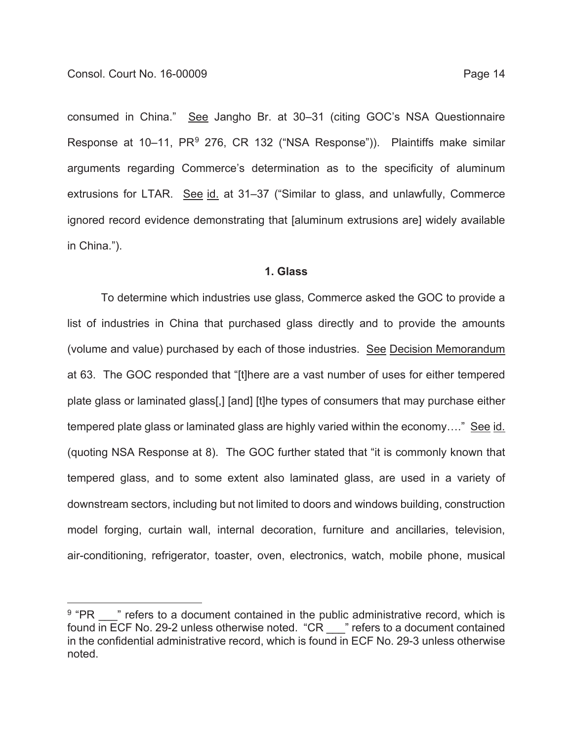consumed in China." See Jangho Br. at 30–31 (citing GOC's NSA Questionnaire Response at 10–11, PR<sup>9</sup> 276, CR 132 ("NSA Response")). Plaintiffs make similar arguments regarding Commerce's determination as to the specificity of aluminum extrusions for LTAR. See id. at 31–37 ("Similar to glass, and unlawfully, Commerce ignored record evidence demonstrating that [aluminum extrusions are] widely available in China.").

#### **1. Glass**

To determine which industries use glass, Commerce asked the GOC to provide a list of industries in China that purchased glass directly and to provide the amounts (volume and value) purchased by each of those industries. See Decision Memorandum at 63. The GOC responded that "[t]here are a vast number of uses for either tempered plate glass or laminated glass[,] [and] [t]he types of consumers that may purchase either tempered plate glass or laminated glass are highly varied within the economy…." See id. (quoting NSA Response at 8). The GOC further stated that "it is commonly known that tempered glass, and to some extent also laminated glass, are used in a variety of downstream sectors, including but not limited to doors and windows building, construction model forging, curtain wall, internal decoration, furniture and ancillaries, television, air-conditioning, refrigerator, toaster, oven, electronics, watch, mobile phone, musical

 $9$  "PR  $\phantom{1}$ " refers to a document contained in the public administrative record, which is found in ECF No. 29-2 unless otherwise noted. "CR \_\_\_" refers to a document contained in the confidential administrative record, which is found in ECF No. 29-3 unless otherwise noted.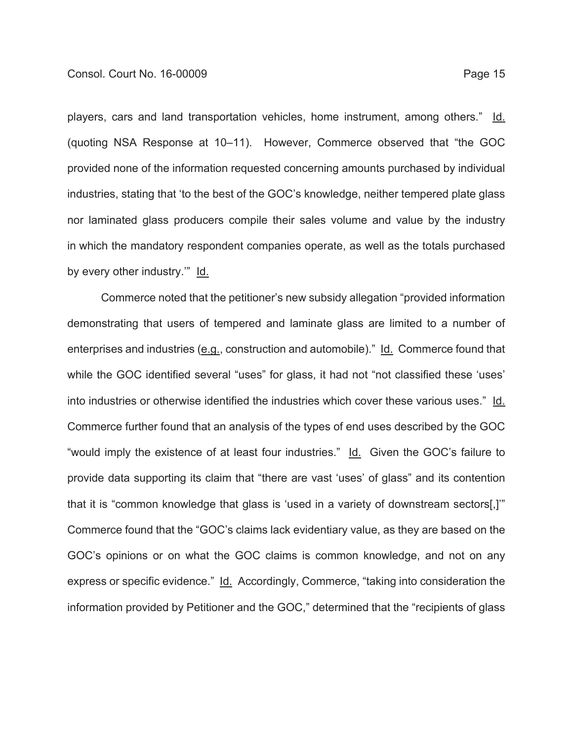players, cars and land transportation vehicles, home instrument, among others." Id. (quoting NSA Response at 10–11). However, Commerce observed that "the GOC provided none of the information requested concerning amounts purchased by individual industries, stating that 'to the best of the GOC's knowledge, neither tempered plate glass nor laminated glass producers compile their sales volume and value by the industry in which the mandatory respondent companies operate, as well as the totals purchased by every other industry.'" Id.

Commerce noted that the petitioner's new subsidy allegation "provided information demonstrating that users of tempered and laminate glass are limited to a number of enterprises and industries (e.g., construction and automobile)." Id. Commerce found that while the GOC identified several "uses" for glass, it had not "not classified these 'uses' into industries or otherwise identified the industries which cover these various uses." Id. Commerce further found that an analysis of the types of end uses described by the GOC "would imply the existence of at least four industries." Id. Given the GOC's failure to provide data supporting its claim that "there are vast 'uses' of glass" and its contention that it is "common knowledge that glass is 'used in a variety of downstream sectors[,]'" Commerce found that the "GOC's claims lack evidentiary value, as they are based on the GOC's opinions or on what the GOC claims is common knowledge, and not on any express or specific evidence." Id. Accordingly, Commerce, "taking into consideration the information provided by Petitioner and the GOC," determined that the "recipients of glass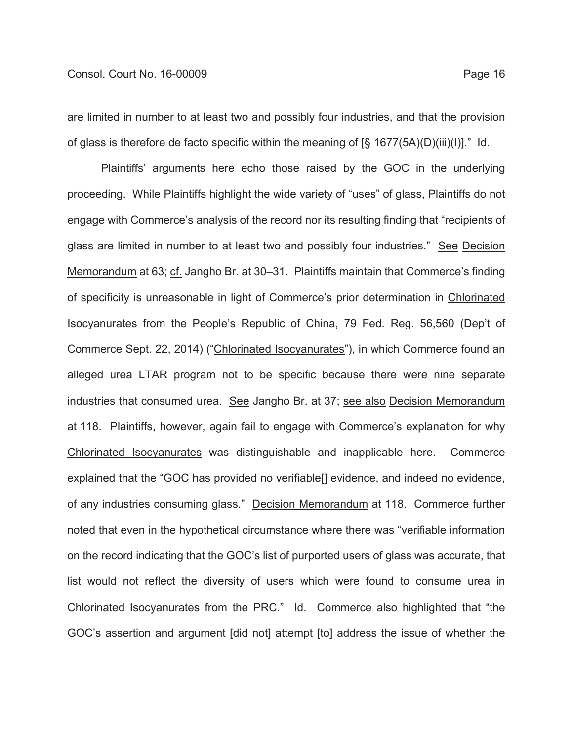are limited in number to at least two and possibly four industries, and that the provision of glass is therefore de facto specific within the meaning of [§ 1677(5A)(D)(iii)(I)]." Id.

Plaintiffs' arguments here echo those raised by the GOC in the underlying proceeding. While Plaintiffs highlight the wide variety of "uses" of glass, Plaintiffs do not engage with Commerce's analysis of the record nor its resulting finding that "recipients of glass are limited in number to at least two and possibly four industries." See Decision Memorandum at 63; cf. Jangho Br. at 30–31. Plaintiffs maintain that Commerce's finding of specificity is unreasonable in light of Commerce's prior determination in Chlorinated Isocyanurates from the People's Republic of China, 79 Fed. Reg. 56,560 (Dep't of Commerce Sept. 22, 2014) ("Chlorinated Isocyanurates"), in which Commerce found an alleged urea LTAR program not to be specific because there were nine separate industries that consumed urea. See Jangho Br. at 37; see also Decision Memorandum at 118. Plaintiffs, however, again fail to engage with Commerce's explanation for why Chlorinated Isocyanurates was distinguishable and inapplicable here. Commerce explained that the "GOC has provided no verifiable[] evidence, and indeed no evidence, of any industries consuming glass." Decision Memorandum at 118. Commerce further noted that even in the hypothetical circumstance where there was "verifiable information on the record indicating that the GOC's list of purported users of glass was accurate, that list would not reflect the diversity of users which were found to consume urea in Chlorinated Isocyanurates from the PRC." Id. Commerce also highlighted that "the GOC's assertion and argument [did not] attempt [to] address the issue of whether the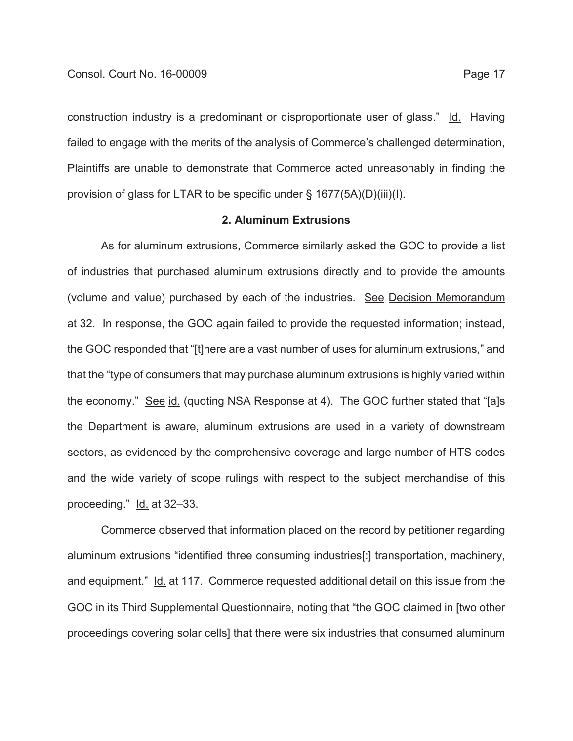construction industry is a predominant or disproportionate user of glass." Id. Having failed to engage with the merits of the analysis of Commerce's challenged determination, Plaintiffs are unable to demonstrate that Commerce acted unreasonably in finding the provision of glass for LTAR to be specific under § 1677(5A)(D)(iii)(I).

#### **2. Aluminum Extrusions**

As for aluminum extrusions, Commerce similarly asked the GOC to provide a list of industries that purchased aluminum extrusions directly and to provide the amounts (volume and value) purchased by each of the industries. See Decision Memorandum at 32. In response, the GOC again failed to provide the requested information; instead, the GOC responded that "[t]here are a vast number of uses for aluminum extrusions," and that the "type of consumers that may purchase aluminum extrusions is highly varied within the economy." See id. (quoting NSA Response at 4). The GOC further stated that "[a]s the Department is aware, aluminum extrusions are used in a variety of downstream sectors, as evidenced by the comprehensive coverage and large number of HTS codes and the wide variety of scope rulings with respect to the subject merchandise of this proceeding." Id. at 32–33.

Commerce observed that information placed on the record by petitioner regarding aluminum extrusions "identified three consuming industries[:] transportation, machinery, and equipment." Id. at 117. Commerce requested additional detail on this issue from the GOC in its Third Supplemental Questionnaire, noting that "the GOC claimed in [two other proceedings covering solar cells] that there were six industries that consumed aluminum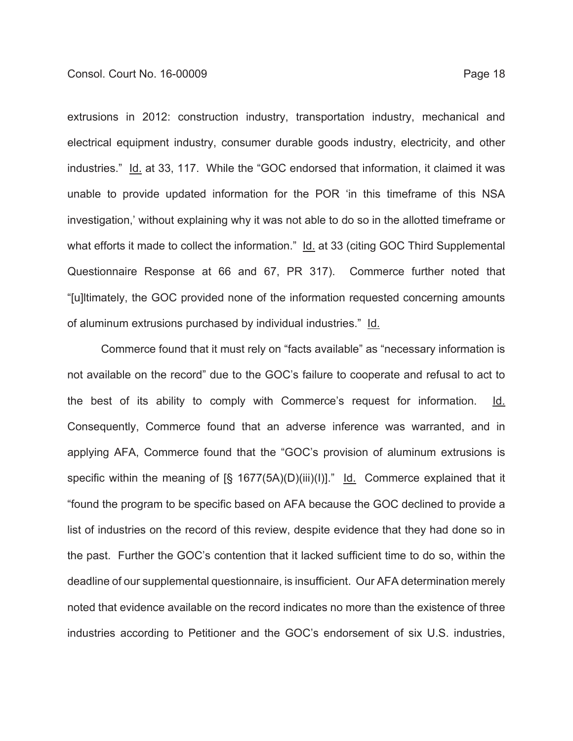extrusions in 2012: construction industry, transportation industry, mechanical and electrical equipment industry, consumer durable goods industry, electricity, and other industries." Id. at 33, 117. While the "GOC endorsed that information, it claimed it was unable to provide updated information for the POR 'in this timeframe of this NSA investigation,' without explaining why it was not able to do so in the allotted timeframe or what efforts it made to collect the information." Id. at 33 (citing GOC Third Supplemental Questionnaire Response at 66 and 67, PR 317). Commerce further noted that "[u]ltimately, the GOC provided none of the information requested concerning amounts of aluminum extrusions purchased by individual industries." Id.

Commerce found that it must rely on "facts available" as "necessary information is not available on the record" due to the GOC's failure to cooperate and refusal to act to the best of its ability to comply with Commerce's request for information. Id. Consequently, Commerce found that an adverse inference was warranted, and in applying AFA, Commerce found that the "GOC's provision of aluminum extrusions is specific within the meaning of  $\lbrack \S \rbrack$  1677(5A)(D)(iii)(I)]." Id. Commerce explained that it "found the program to be specific based on AFA because the GOC declined to provide a list of industries on the record of this review, despite evidence that they had done so in the past. Further the GOC's contention that it lacked sufficient time to do so, within the deadline of our supplemental questionnaire, is insufficient. Our AFA determination merely noted that evidence available on the record indicates no more than the existence of three industries according to Petitioner and the GOC's endorsement of six U.S. industries,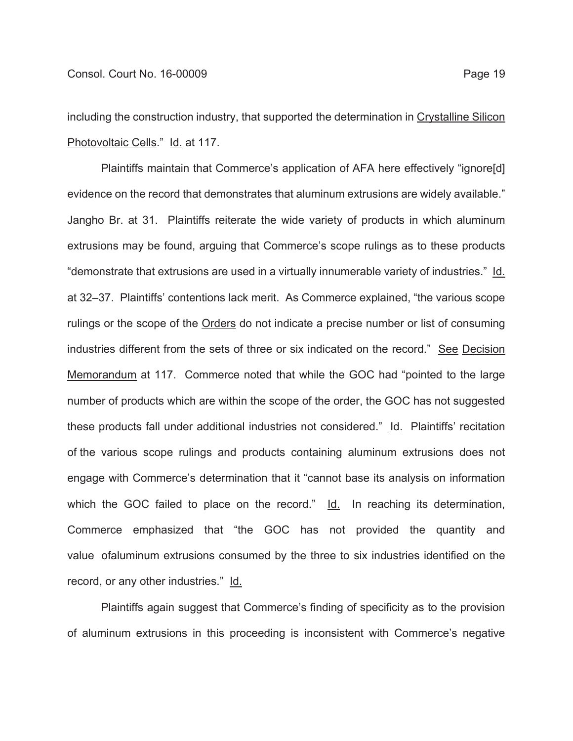including the construction industry, that supported the determination in Crystalline Silicon Photovoltaic Cells." Id. at 117.

Plaintiffs maintain that Commerce's application of AFA here effectively "ignore[d] evidence on the record that demonstrates that aluminum extrusions are widely available." Jangho Br. at 31. Plaintiffs reiterate the wide variety of products in which aluminum extrusions may be found, arguing that Commerce's scope rulings as to these products "demonstrate that extrusions are used in a virtually innumerable variety of industries." Id. at 32–37. Plaintiffs' contentions lack merit. As Commerce explained, "the various scope rulings or the scope of the Orders do not indicate a precise number or list of consuming industries different from the sets of three or six indicated on the record." See Decision Memorandum at 117. Commerce noted that while the GOC had "pointed to the large number of products which are within the scope of the order, the GOC has not suggested these products fall under additional industries not considered." Id. Plaintiffs' recitation of the various scope rulings and products containing aluminum extrusions does not engage with Commerce's determination that it "cannot base its analysis on information which the GOC failed to place on the record."  $\text{Id}$ . In reaching its determination, Commerce emphasized that "the GOC has not provided the quantity and value ofaluminum extrusions consumed by the three to six industries identified on the record, or any other industries." Id.

Plaintiffs again suggest that Commerce's finding of specificity as to the provision of aluminum extrusions in this proceeding is inconsistent with Commerce's negative